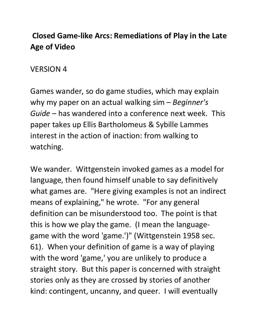# **Closed Game-like Arcs: Remediations of Play in the Late Age of Video**

#### VERSION 4

Games wander, so do game studies, which may explain why my paper on an actual walking sim – *Beginner's Guide* – has wandered into a conference next week. This paper takes up Ellis Bartholomeus & Sybille Lammes interest in the action of inaction: from walking to watching.

We wander. Wittgenstein invoked games as a model for language, then found himself unable to say definitively what games are. "Here giving examples is not an indirect means of explaining," he wrote. "For any general definition can be misunderstood too. The point is that this is how we play the game. (I mean the languagegame with the word 'game.')" (Wittgenstein 1958 sec. 61). When your definition of game is a way of playing with the word 'game,' you are unlikely to produce a straight story. But this paper is concerned with straight stories only as they are crossed by stories of another kind: contingent, uncanny, and queer. I will eventually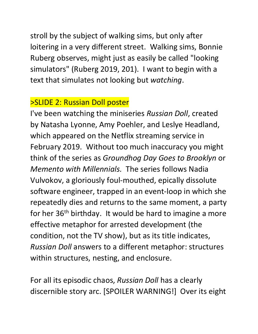stroll by the subject of walking sims, but only after loitering in a very different street. Walking sims, Bonnie Ruberg observes, might just as easily be called "looking simulators" (Ruberg 2019, 201). I want to begin with a text that simulates not looking but *watching*.

#### >SLIDE 2: Russian Doll poster

I've been watching the miniseries *Russian Doll*, created by Natasha Lyonne, Amy Poehler, and Leslye Headland, which appeared on the Netflix streaming service in February 2019. Without too much inaccuracy you might think of the series as *Groundhog Day Goes to Brooklyn* or *Memento with Millennials.* The series follows Nadia Vulvokov, a gloriously foul-mouthed, epically dissolute software engineer, trapped in an event-loop in which she repeatedly dies and returns to the same moment, a party for her 36<sup>th</sup> birthday. It would be hard to imagine a more effective metaphor for arrested development (the condition, not the TV show), but as its title indicates, *Russian Doll* answers to a different metaphor: structures within structures, nesting, and enclosure.

For all its episodic chaos, *Russian Doll* has a clearly discernible story arc. [SPOILER WARNING!] Over its eight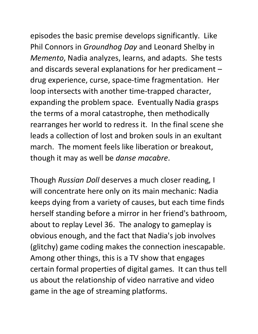episodes the basic premise develops significantly. Like Phil Connors in *Groundhog Day* and Leonard Shelby in *Memento*, Nadia analyzes, learns, and adapts. She tests and discards several explanations for her predicament – drug experience, curse, space-time fragmentation. Her loop intersects with another time-trapped character, expanding the problem space. Eventually Nadia grasps the terms of a moral catastrophe, then methodically rearranges her world to redress it. In the final scene she leads a collection of lost and broken souls in an exultant march. The moment feels like liberation or breakout, though it may as well be *danse macabre*.

Though *Russian Doll* deserves a much closer reading, I will concentrate here only on its main mechanic: Nadia keeps dying from a variety of causes, but each time finds herself standing before a mirror in her friend's bathroom, about to replay Level 36. The analogy to gameplay is obvious enough, and the fact that Nadia's job involves (glitchy) game coding makes the connection inescapable. Among other things, this is a TV show that engages certain formal properties of digital games. It can thus tell us about the relationship of video narrative and video game in the age of streaming platforms.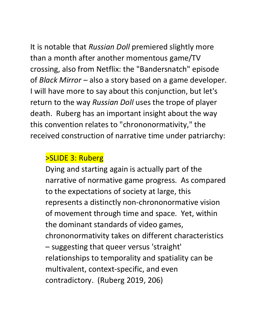It is notable that *Russian Doll* premiered slightly more than a month after another momentous game/TV crossing, also from Netflix: the "Bandersnatch" episode of *Black Mirror* – also a story based on a game developer. I will have more to say about this conjunction, but let's return to the way *Russian Doll* uses the trope of player death. Ruberg has an important insight about the way this convention relates to "chrononormativity," the received construction of narrative time under patriarchy:

### >SLIDE 3: Ruberg

Dying and starting again is actually part of the narrative of normative game progress. As compared to the expectations of society at large, this represents a distinctly non-chrononormative vision of movement through time and space. Yet, within the dominant standards of video games, chrononormativity takes on different characteristics – suggesting that queer versus 'straight' relationships to temporality and spatiality can be multivalent, context-specific, and even contradictory. (Ruberg 2019, 206)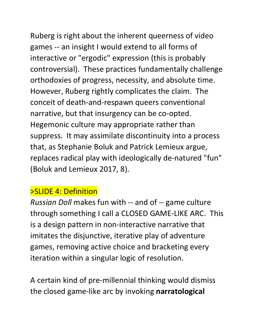Ruberg is right about the inherent queerness of video games -- an insight I would extend to all forms of interactive or "ergodic" expression (this is probably controversial). These practices fundamentally challenge orthodoxies of progress, necessity, and absolute time. However, Ruberg rightly complicates the claim. The conceit of death-and-respawn queers conventional narrative, but that insurgency can be co-opted. Hegemonic culture may appropriate rather than suppress. It may assimilate discontinuity into a process that, as Stephanie Boluk and Patrick Lemieux argue, replaces radical play with ideologically de-natured "fun" (Boluk and Lemieux 2017, 8).

# >SLIDE 4: Definition

*Russian Doll* makes fun with -- and of -- game culture through something I call a CLOSED GAME-LIKE ARC. This is a design pattern in non-interactive narrative that imitates the disjunctive, iterative play of adventure games, removing active choice and bracketing every iteration within a singular logic of resolution.

A certain kind of pre-millennial thinking would dismiss the closed game-like arc by invoking **narratological**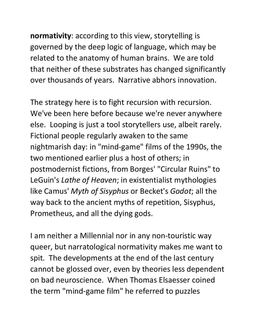**normativity**: according to this view, storytelling is governed by the deep logic of language, which may be related to the anatomy of human brains. We are told that neither of these substrates has changed significantly over thousands of years. Narrative abhors innovation.

The strategy here is to fight recursion with recursion. We've been here before because we're never anywhere else. Looping is just a tool storytellers use, albeit rarely. Fictional people regularly awaken to the same nightmarish day: in "mind-game" films of the 1990s, the two mentioned earlier plus a host of others; in postmodernist fictions, from Borges' "Circular Ruins" to LeGuin's *Lathe of Heaven*; in existentialist mythologies like Camus' *Myth of Sisyphus* or Becket's *Godot*; all the way back to the ancient myths of repetition, Sisyphus, Prometheus, and all the dying gods.

I am neither a Millennial nor in any non-touristic way queer, but narratological normativity makes me want to spit. The developments at the end of the last century cannot be glossed over, even by theories less dependent on bad neuroscience. When Thomas Elsaesser coined the term "mind-game film" he referred to puzzles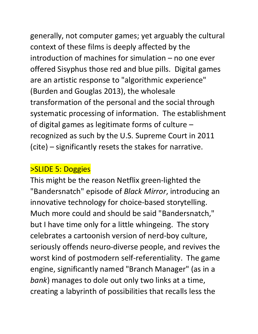generally, not computer games; yet arguably the cultural context of these films is deeply affected by the introduction of machines for simulation – no one ever offered Sisyphus those red and blue pills. Digital games are an artistic response to "algorithmic experience" (Burden and Gouglas 2013), the wholesale

transformation of the personal and the social through systematic processing of information. The establishment of digital games as legitimate forms of culture – recognized as such by the U.S. Supreme Court in 2011 (cite) – significantly resets the stakes for narrative.

## >SLIDE 5: Doggies

This might be the reason Netflix green-lighted the "Bandersnatch" episode of *Black Mirror*, introducing an innovative technology for choice-based storytelling. Much more could and should be said "Bandersnatch, " but I have time only for a little whingeing. The story celebrates a cartoonish version of nerd-boy culture, seriously offends neuro-diverse people, and revives the worst kind of postmodern self-referentiality. The game engine, significantly named "Branch Manager" (as in a *bank*) manages to dole out only two links at a time, creating a labyrinth of possibilities that recalls less the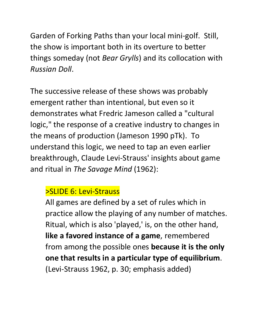Garden of Forking Paths than your local mini-golf. Still, the show is important both in its overture to better things someday (not *Bear Grylls*) and its collocation with *Russian Doll*.

The successive release of these shows was probably emergent rather than intentional, but even so it demonstrates what Fredric Jameson called a "cultural logic," the response of a creative industry to changes in the means of production (Jameson 1990 pTk). To understand this logic, we need to tap an even earlier breakthrough, Claude Levi-Strauss' insights about game and ritual in *The Savage Mind* (1962):

#### >SLIDE 6: Levi-Strauss

All games are defined by a set of rules which in practice allow the playing of any number of matches. Ritual, which is also 'played,' is, on the other hand, **like a favored instance of a game**, remembered from among the possible ones **because it is the only one that results in a particular type of equilibrium**. (Levi-Strauss 1962, p. 30; emphasis added)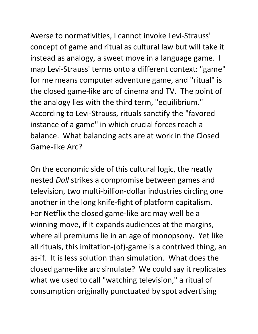Averse to normativities, I cannot invoke Levi-Strauss' concept of game and ritual as cultural law but will take it instead as analogy, a sweet move in a language game. I map Levi-Strauss' terms onto a different context: "game" for me means computer adventure game, and "ritual" is the closed game-like arc of cinema and TV. The point of the analogy lies with the third term, "equilibrium." According to Levi-Strauss, rituals sanctify the "favored instance of a game" in which crucial forces reach a balance. What balancing acts are at work in the Closed Game-like Arc?

On the economic side of this cultural logic, the neatly nested *Doll* strikes a compromise between games and television, two multi-billion-dollar industries circling one another in the long knife-fight of platform capitalism. For Netflix the closed game-like arc may well be a winning move, if it expands audiences at the margins, where all premiums lie in an age of monopsony. Yet like all rituals, this imitation-(of)-game is a contrived thing, an as-if. It is less solution than simulation. What does the closed game-like arc simulate? We could say it replicates what we used to call "watching television," a ritual of consumption originally punctuated by spot advertising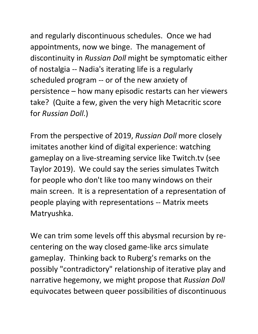and regularly discontinuous schedules. Once we had appointments, now we binge. The management of discontinuity in *Russian Doll* might be symptomatic either of nostalgia -- Nadia's iterating life is a regularly scheduled program -- or of the new anxiety of persistence – how many episodic restarts can her viewers take? (Quite a few, given the very high Metacritic score for *Russian Doll*.)

From the perspective of 2019, *Russian Doll* more closely imitates another kind of digital experience: watching gameplay on a live-streaming service like Twitch.tv (see Taylor 2019). We could say the series simulates Twitch for people who don't like too many windows on their main screen. It is a representation of a representation of people playing with representations -- Matrix meets Matryushka.

We can trim some levels off this abysmal recursion by recentering on the way closed game-like arcs simulate gameplay. Thinking back to Ruberg's remarks on the possibly "contradictory" relationship of iterative play and narrative hegemony, we might propose that *Russian Doll* equivocates between queer possibilities of discontinuous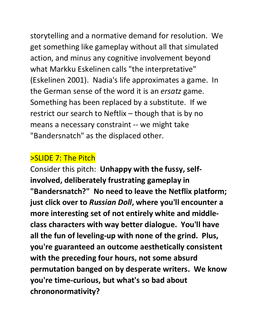storytelling and a normative demand for resolution. We get something like gameplay without all that simulated action, and minus any cognitive involvement beyond what Markku Eskelinen calls "the interpretative" (Eskelinen 2001). Nadia's life approximates a game. In the German sense of the word it is an *ersatz* game. Something has been replaced by a substitute. If we restrict our search to Neftlix – though that is by no means a necessary constraint -- we might take "Bandersnatch" as the displaced other.

#### >SLIDE 7: The Pitch

Consider this pitch: **Unhappy with the fussy, selfinvolved, deliberately frustrating gameplay in "Bandersnatch?" No need to leave the Netflix platform; just click over to** *Russian Doll***, where you'll encounter a more interesting set of not entirely white and middleclass characters with way better dialogue. You'll have all the fun of leveling-up with none of the grind. Plus, you're guaranteed an outcome aesthetically consistent with the preceding four hours, not some absurd permutation banged on by desperate writers. We know you're time-curious, but what's so bad about chrononormativity?**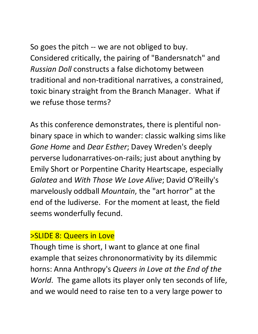So goes the pitch -- we are not obliged to buy. Considered critically, the pairing of "Bandersnatch" and *Russian Doll* constructs a false dichotomy between traditional and non-traditional narratives, a constrained, toxic binary straight from the Branch Manager. What if we refuse those terms?

As this conference demonstrates, there is plentiful nonbinary space in which to wander: classic walking sims like *Gone Home* and *Dear Esther*; Davey Wreden's deeply perverse ludonarratives-on-rails; just about anything by Emily Short or Porpentine Charity Heartscape, especially *Galatea* and *With Those We Love Alive*; David O'Reilly's marvelously oddball *Mountain*, the "art horror" at the end of the ludiverse. For the moment at least, the field seems wonderfully fecund.

#### >SLIDE 8: Queers in Love

Though time is short, I want to glance at one final example that seizes chrononormativity by its dilemmic horns: Anna Anthropy's *Queers in Love at the End of the World*. The game allots its player only ten seconds of life, and we would need to raise ten to a very large power to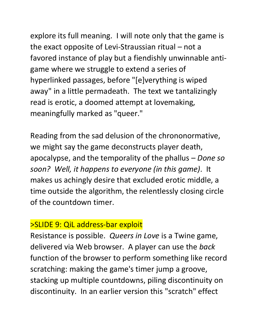explore its full meaning. I will note only that the game is the exact opposite of Levi-Straussian ritual – not a favored instance of play but a fiendishly unwinnable antigame where we struggle to extend a series of hyperlinked passages, before "[e]verything is wiped away" in a little permadeath. The text we tantalizingly read is erotic, a doomed attempt at lovemaking, meaningfully marked as "queer."

Reading from the sad delusion of the chrononormative, we might say the game deconstructs player death, apocalypse, and the temporality of the phallus – *Done so soon? Well, it happens to everyone (in this game)*. It makes us achingly desire that excluded erotic middle, a time outside the algorithm, the relentlessly closing circle of the countdown timer.

### >SLIDE 9: QiL address-bar exploit

Resistance is possible. *Queers in Love* is a Twine game, delivered via Web browser. A player can use the *back* function of the browser to perform something like record scratching: making the game's timer jump a groove, stacking up multiple countdowns, piling discontinuity on discontinuity. In an earlier version this "scratch" effect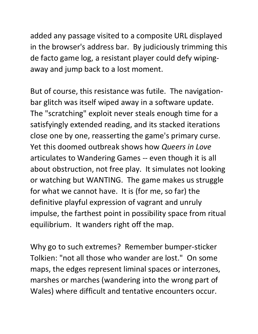added any passage visited to a composite URL displayed in the browser's address bar. By judiciously trimming this de facto game log, a resistant player could defy wipingaway and jump back to a lost moment.

But of course, this resistance was futile. The navigationbar glitch was itself wiped away in a software update. The "scratching" exploit never steals enough time for a satisfyingly extended reading, and its stacked iterations close one by one, reasserting the game's primary curse. Yet this doomed outbreak shows how *Queers in Love* articulates to Wandering Games -- even though it is all about obstruction, not free play. It simulates not looking or watching but WANTING. The game makes us struggle for what we cannot have. It is (for me, so far) the definitive playful expression of vagrant and unruly impulse, the farthest point in possibility space from ritual equilibrium. It wanders right off the map.

Why go to such extremes? Remember bumper-sticker Tolkien: "not all those who wander are lost." On some maps, the edges represent liminal spaces or interzones, marshes or marches (wandering into the wrong part of Wales) where difficult and tentative encounters occur.